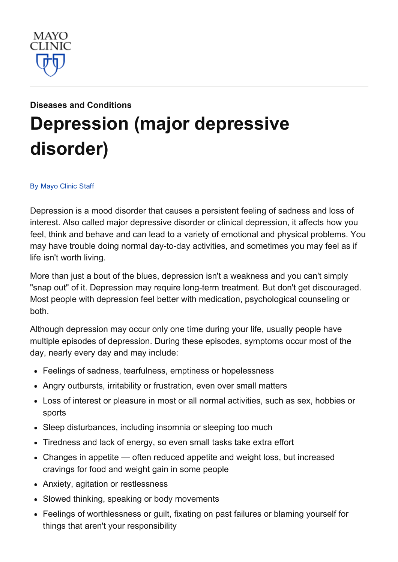

# Diseases and [Conditions](http://www.mayoclinic.org/diseases-conditions) [Depression](http://www.mayoclinic.org/diseases-conditions/depression/basics/definition/con-20032977) (major depressive disorder)

#### By [Mayo](http://www.mayoclinic.org/about-this-site/welcome) Clinic Staff

Depression is a mood disorder that causes a persistent feeling of sadness and loss of interest. Also called major depressive disorder or clinical depression, it affects how you feel, think and behave and can lead to a variety of emotional and physical problems. You may have trouble doing normal day-to-day activities, and sometimes you may feel as if life isn't worth living.

More than just a bout of the blues, depression isn't a weakness and you can't simply "snap out" of it. Depression may require long-term treatment. But don't get discouraged. Most people with depression feel better with medication, psychological counseling or both.

Although depression may occur only one time during your life, usually people have multiple episodes of depression. During these episodes, symptoms occur most of the day, nearly every day and may include:

- Feelings of sadness, tearfulness, emptiness or hopelessness
- Angry outbursts, irritability or frustration, even over small matters
- Loss of interest or pleasure in most or all normal activities, such as sex, hobbies or sports
- Sleep disturbances, including insomnia or sleeping too much
- Tiredness and lack of energy, so even small tasks take extra effort
- Changes in appetite often reduced appetite and weight loss, but increased cravings for food and weight gain in some people
- Anxiety, agitation or restlessness
- Slowed thinking, speaking or body movements
- Feelings of worthlessness or guilt, fixating on past failures or blaming yourself for things that aren't your responsibility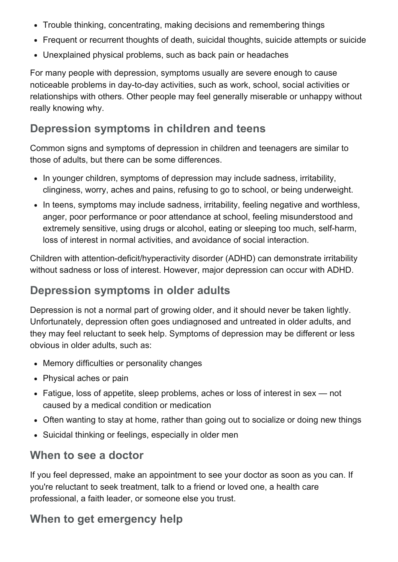- Trouble thinking, concentrating, making decisions and remembering things
- Frequent or recurrent thoughts of death, suicidal thoughts, suicide attempts or suicide
- Unexplained physical problems, such as back pain or headaches

For many people with depression, symptoms usually are severe enough to cause noticeable problems in day-to-day activities, such as work, school, social activities or relationships with others. Other people may feel generally miserable or unhappy without really knowing why.

#### Depression symptoms in children and teens

Common signs and symptoms of depression in children and teenagers are similar to those of adults, but there can be some differences.

- In younger children, symptoms of depression may include sadness, irritability, clinginess, worry, aches and pains, refusing to go to school, or being underweight.
- In teens, symptoms may include sadness, irritability, feeling negative and worthless, anger, poor performance or poor attendance at school, feeling misunderstood and extremely sensitive, using drugs or alcohol, eating or sleeping too much, self-harm, loss of interest in normal activities, and avoidance of social interaction.

Children with attention-deficit/hyperactivity disorder (ADHD) can demonstrate irritability without sadness or loss of interest. However, major depression can occur with ADHD.

#### Depression symptoms in older adults

Depression is not a normal part of growing older, and it should never be taken lightly. Unfortunately, depression often goes undiagnosed and untreated in older adults, and they may feel reluctant to seek help. Symptoms of depression may be different or less obvious in older adults, such as:

- Memory difficulties or personality changes
- Physical aches or pain
- Fatigue, loss of appetite, sleep problems, aches or loss of interest in sex not caused by a medical condition or medication
- Often wanting to stay at home, rather than going out to socialize or doing new things
- Suicidal thinking or feelings, especially in older men

#### When to see a doctor

If you feel depressed, make an appointment to see your doctor as soon as you can. If you're reluctant to seek treatment, talk to a friend or loved one, a health care professional, a faith leader, or someone else you trust.

### When to get emergency help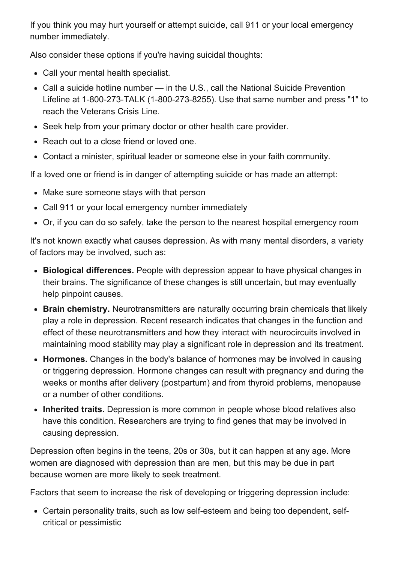If you think you may hurt yourself or attempt suicide, call 911 or your local emergency number immediately.

Also consider these options if you're having suicidal thoughts:

- Call your mental health specialist.
- Call a suicide hotline number in the U.S., call the National Suicide Prevention Lifeline at 1-800-273-TALK (1-800-273-8255). Use that same number and press "1" to reach the Veterans Crisis Line.
- Seek help from your primary doctor or other health care provider.
- Reach out to a close friend or loved one.
- Contact a minister, spiritual leader or someone else in your faith community.

If a loved one or friend is in danger of attempting suicide or has made an attempt:

- Make sure someone stays with that person
- Call 911 or your local emergency number immediately
- Or, if you can do so safely, take the person to the nearest hospital emergency room

It's not known exactly what causes depression. As with many mental disorders, a variety of factors may be involved, such as:

- Biological differences. People with depression appear to have physical changes in their brains. The significance of these changes is still uncertain, but may eventually help pinpoint causes.
- Brain chemistry. Neurotransmitters are naturally occurring brain chemicals that likely play a role in depression. Recent research indicates that changes in the function and effect of these neurotransmitters and how they interact with neurocircuits involved in maintaining mood stability may play a significant role in depression and its treatment.
- Hormones. Changes in the body's balance of hormones may be involved in causing or triggering depression. Hormone changes can result with pregnancy and during the weeks or months after delivery (postpartum) and from thyroid problems, menopause or a number of other conditions.
- Inherited traits. Depression is more common in people whose blood relatives also have this condition. Researchers are trying to find genes that may be involved in causing depression.

Depression often begins in the teens, 20s or 30s, but it can happen at any age. More women are diagnosed with depression than are men, but this may be due in part because women are more likely to seek treatment.

Factors that seem to increase the risk of developing or triggering depression include:

• Certain personality traits, such as low self-esteem and being too dependent, selfcritical or pessimistic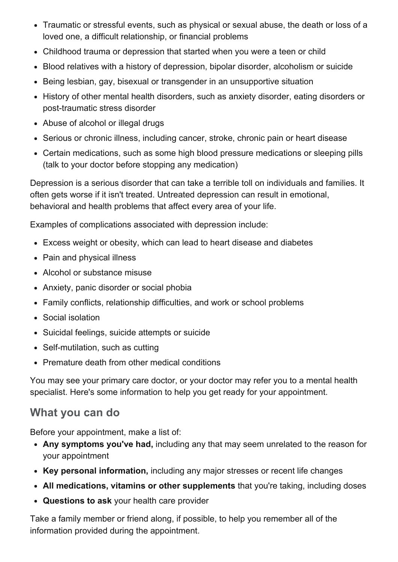- Traumatic or stressful events, such as physical or sexual abuse, the death or loss of a loved one, a difficult relationship, or financial problems
- Childhood trauma or depression that started when you were a teen or child
- Blood relatives with a history of depression, bipolar disorder, alcoholism or suicide
- Being lesbian, gay, bisexual or transgender in an unsupportive situation
- History of other mental health disorders, such as anxiety disorder, eating disorders or post-traumatic stress disorder
- Abuse of alcohol or illegal drugs
- Serious or chronic illness, including cancer, stroke, chronic pain or heart disease
- Certain medications, such as some high blood pressure medications or sleeping pills (talk to your doctor before stopping any medication)

Depression is a serious disorder that can take a terrible toll on individuals and families. It often gets worse if it isn't treated. Untreated depression can result in emotional, behavioral and health problems that affect every area of your life.

Examples of complications associated with depression include:

- Excess weight or obesity, which can lead to heart disease and diabetes
- Pain and physical illness
- Alcohol or substance misuse
- Anxiety, panic disorder or social phobia
- Family conflicts, relationship difficulties, and work or school problems
- Social isolation
- Suicidal feelings, suicide attempts or suicide
- Self-mutilation, such as cutting
- Premature death from other medical conditions

You may see your primary care doctor, or your doctor may refer you to a mental health specialist. Here's some information to help you get ready for your appointment.

### What you can do

Before your appointment, make a list of:

- Any symptoms you've had, including any that may seem unrelated to the reason for your appointment
- Key personal information, including any major stresses or recent life changes
- All medications, vitamins or other supplements that you're taking, including doses
- Questions to ask your health care provider

Take a family member or friend along, if possible, to help you remember all of the information provided during the appointment.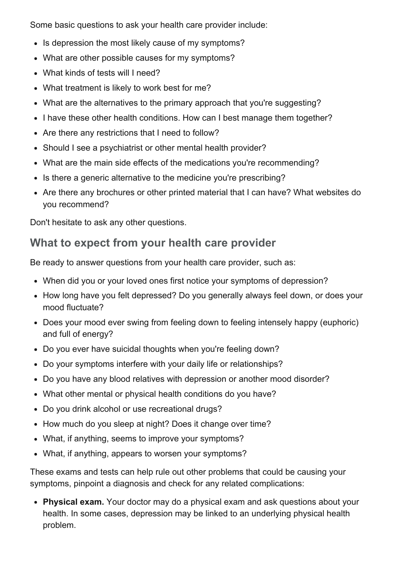Some basic questions to ask your health care provider include:

- Is depression the most likely cause of my symptoms?
- What are other possible causes for my symptoms?
- What kinds of tests will I need?
- What treatment is likely to work best for me?
- What are the alternatives to the primary approach that you're suggesting?
- I have these other health conditions. How can I best manage them together?
- Are there any restrictions that I need to follow?
- Should I see a psychiatrist or other mental health provider?
- What are the main side effects of the medications you're recommending?
- Is there a generic alternative to the medicine you're prescribing?
- Are there any brochures or other printed material that I can have? What websites do you recommend?

Don't hesitate to ask any other questions.

### What to expect from your health care provider

Be ready to answer questions from your health care provider, such as:

- When did you or your loved ones first notice your symptoms of depression?
- How long have you felt depressed? Do you generally always feel down, or does your mood fluctuate?
- Does your mood ever swing from feeling down to feeling intensely happy (euphoric) and full of energy?
- Do you ever have suicidal thoughts when you're feeling down?
- Do your symptoms interfere with your daily life or relationships?
- Do you have any blood relatives with depression or another mood disorder?
- What other mental or physical health conditions do you have?
- Do you drink alcohol or use recreational drugs?
- How much do you sleep at night? Does it change over time?
- What, if anything, seems to improve your symptoms?
- What, if anything, appears to worsen your symptoms?

These exams and tests can help rule out other problems that could be causing your symptoms, pinpoint a diagnosis and check for any related complications:

• Physical exam. Your doctor may do a physical exam and ask questions about your health. In some cases, depression may be linked to an underlying physical health problem.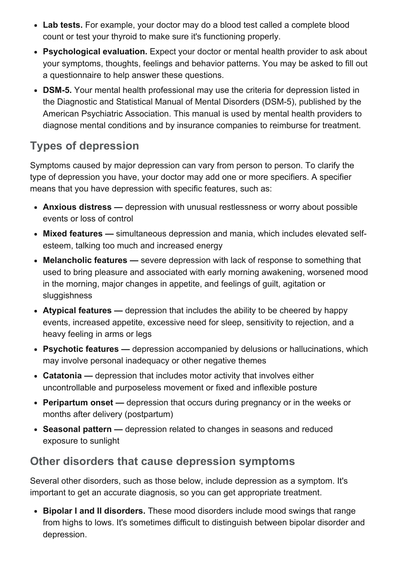- Lab tests. For example, your doctor may do a blood test called a complete blood count or test your thyroid to make sure it's functioning properly.
- Psychological evaluation. Expect your doctor or mental health provider to ask about your symptoms, thoughts, feelings and behavior patterns. You may be asked to fill out a questionnaire to help answer these questions.
- DSM-5. Your mental health professional may use the criteria for depression listed in the Diagnostic and Statistical Manual of Mental Disorders (DSM-5), published by the American Psychiatric Association. This manual is used by mental health providers to diagnose mental conditions and by insurance companies to reimburse for treatment.

### Types of depression

Symptoms caused by major depression can vary from person to person. To clarify the type of depression you have, your doctor may add one or more specifiers. A specifier means that you have depression with specific features, such as:

- Anxious distress depression with unusual restlessness or worry about possible events or loss of control
- Mixed features simultaneous depression and mania, which includes elevated selfesteem, talking too much and increased energy
- Melancholic features severe depression with lack of response to something that used to bring pleasure and associated with early morning awakening, worsened mood in the morning, major changes in appetite, and feelings of guilt, agitation or sluggishness
- Atypical features depression that includes the ability to be cheered by happy events, increased appetite, excessive need for sleep, sensitivity to rejection, and a heavy feeling in arms or legs
- Psychotic features depression accompanied by delusions or hallucinations, which may involve personal inadequacy or other negative themes
- Catatonia depression that includes motor activity that involves either uncontrollable and purposeless movement or fixed and inflexible posture
- Peripartum onset depression that occurs during pregnancy or in the weeks or months after delivery (postpartum)
- Seasonal pattern depression related to changes in seasons and reduced exposure to sunlight

#### Other disorders that cause depression symptoms

Several other disorders, such as those below, include depression as a symptom. It's important to get an accurate diagnosis, so you can get appropriate treatment.

• Bipolar I and II disorders. These mood disorders include mood swings that range from highs to lows. It's sometimes difficult to distinguish between bipolar disorder and depression.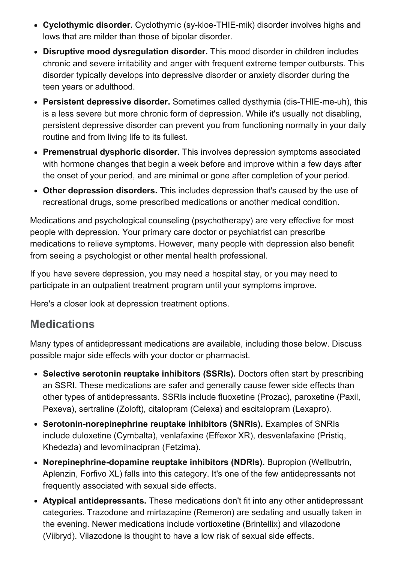- Cyclothymic disorder. Cyclothymic (sy-kloe-THIE-mik) disorder involves highs and lows that are milder than those of bipolar disorder.
- Disruptive mood dysregulation disorder. This mood disorder in children includes chronic and severe irritability and anger with frequent extreme temper outbursts. This disorder typically develops into depressive disorder or anxiety disorder during the teen years or adulthood.
- Persistent depressive disorder. Sometimes called dysthymia (dis-THIE-me-uh), this is a less severe but more chronic form of depression. While it's usually not disabling, persistent depressive disorder can prevent you from functioning normally in your daily routine and from living life to its fullest.
- Premenstrual dysphoric disorder. This involves depression symptoms associated with hormone changes that begin a week before and improve within a few days after the onset of your period, and are minimal or gone after completion of your period.
- Other depression disorders. This includes depression that's caused by the use of recreational drugs, some prescribed medications or another medical condition.

Medications and psychological counseling (psychotherapy) are very effective for most people with depression. Your primary care doctor or psychiatrist can prescribe medications to relieve symptoms. However, many people with depression also benefit from seeing a psychologist or other mental health professional.

If you have severe depression, you may need a hospital stay, or you may need to participate in an outpatient treatment program until your symptoms improve.

Here's a closer look at depression treatment options.

### **Medications**

Many types of antidepressant medications are available, including those below. Discuss possible major side effects with your doctor or pharmacist.

- Selective serotonin reuptake inhibitors (SSRIs). Doctors often start by prescribing an SSRI. These medications are safer and generally cause fewer side effects than other types of antidepressants. SSRIs include fluoxetine (Prozac), paroxetine (Paxil, Pexeva), sertraline (Zoloft), citalopram (Celexa) and escitalopram (Lexapro).
- Serotonin-norepinephrine reuptake inhibitors (SNRIs). Examples of SNRIs include duloxetine (Cymbalta), venlafaxine (Effexor XR), desvenlafaxine (Pristiq, Khedezla) and levomilnacipran (Fetzima).
- Norepinephrine-dopamine reuptake inhibitors (NDRIs). Bupropion (Wellbutrin, Aplenzin, Forfivo XL) falls into this category. It's one of the few antidepressants not frequently associated with sexual side effects.
- Atypical antidepressants. These medications don't fit into any other antidepressant categories. Trazodone and mirtazapine (Remeron) are sedating and usually taken in the evening. Newer medications include vortioxetine (Brintellix) and vilazodone (Viibryd). Vilazodone is thought to have a low risk of sexual side effects.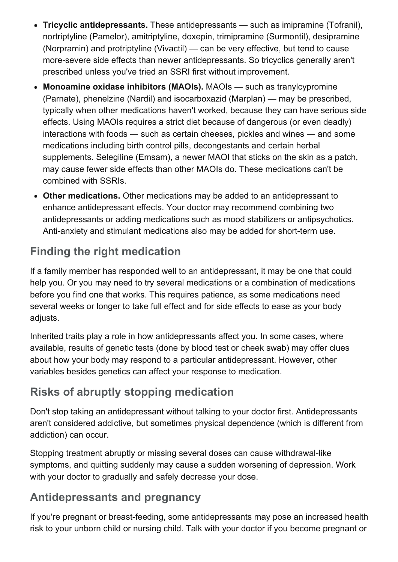- Tricyclic antidepressants. These antidepressants such as imipramine (Tofranil), nortriptyline (Pamelor), amitriptyline, doxepin, trimipramine (Surmontil), desipramine (Norpramin) and protriptyline (Vivactil) — can be very effective, but tend to cause more-severe side effects than newer antidepressants. So tricyclics generally aren't prescribed unless you've tried an SSRI first without improvement.
- Monoamine oxidase inhibitors (MAOIs). MAOIs such as tranylcypromine (Parnate), phenelzine (Nardil) and isocarboxazid (Marplan) — may be prescribed, typically when other medications haven't worked, because they can have serious side effects. Using MAOIs requires a strict diet because of dangerous (or even deadly) interactions with foods ― such as certain cheeses, pickles and wines ― and some medications including birth control pills, decongestants and certain herbal supplements. Selegiline (Emsam), a newer MAOI that sticks on the skin as a patch, may cause fewer side effects than other MAOIs do. These medications can't be combined with SSRIs.
- Other medications. Other medications may be added to an antidepressant to enhance antidepressant effects. Your doctor may recommend combining two antidepressants or adding medications such as mood stabilizers or antipsychotics. Anti-anxiety and stimulant medications also may be added for short-term use.

## Finding the right medication

If a family member has responded well to an antidepressant, it may be one that could help you. Or you may need to try several medications or a combination of medications before you find one that works. This requires patience, as some medications need several weeks or longer to take full effect and for side effects to ease as your body adjusts.

Inherited traits play a role in how antidepressants affect you. In some cases, where available, results of genetic tests (done by blood test or cheek swab) may offer clues about how your body may respond to a particular antidepressant. However, other variables besides genetics can affect your response to medication.

### Risks of abruptly stopping medication

Don't stop taking an antidepressant without talking to your doctor first. Antidepressants aren't considered addictive, but sometimes physical dependence (which is different from addiction) can occur.

Stopping treatment abruptly or missing several doses can cause withdrawal-like symptoms, and quitting suddenly may cause a sudden worsening of depression. Work with your doctor to gradually and safely decrease your dose.

### Antidepressants and pregnancy

If you're pregnant or breast-feeding, some antidepressants may pose an increased health risk to your unborn child or nursing child. Talk with your doctor if you become pregnant or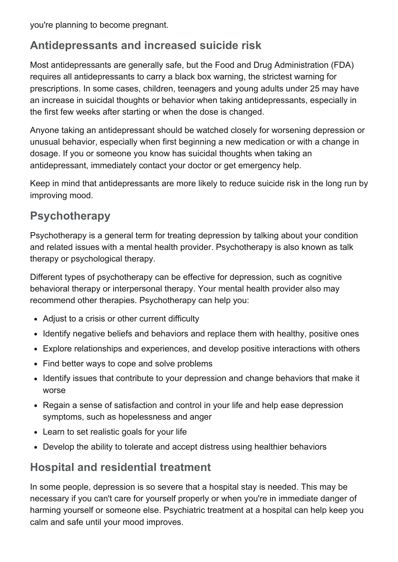you're planning to become pregnant.

### Antidepressants and increased suicide risk

Most antidepressants are generally safe, but the Food and Drug Administration (FDA) requires all antidepressants to carry a black box warning, the strictest warning for prescriptions. In some cases, children, teenagers and young adults under 25 may have an increase in suicidal thoughts or behavior when taking antidepressants, especially in the first few weeks after starting or when the dose is changed.

Anyone taking an antidepressant should be watched closely for worsening depression or unusual behavior, especially when first beginning a new medication or with a change in dosage. If you or someone you know has suicidal thoughts when taking an antidepressant, immediately contact your doctor or get emergency help.

Keep in mind that antidepressants are more likely to reduce suicide risk in the long run by improving mood.

### Psychotherapy

Psychotherapy is a general term for treating depression by talking about your condition and related issues with a mental health provider. Psychotherapy is also known as talk therapy or psychological therapy.

Different types of psychotherapy can be effective for depression, such as cognitive behavioral therapy or interpersonal therapy. Your mental health provider also may recommend other therapies. Psychotherapy can help you:

- Adjust to a crisis or other current difficulty
- Identify negative beliefs and behaviors and replace them with healthy, positive ones
- Explore relationships and experiences, and develop positive interactions with others
- Find better ways to cope and solve problems
- Identify issues that contribute to your depression and change behaviors that make it worse
- Regain a sense of satisfaction and control in your life and help ease depression symptoms, such as hopelessness and anger
- Learn to set realistic goals for your life
- Develop the ability to tolerate and accept distress using healthier behaviors

### Hospital and residential treatment

In some people, depression is so severe that a hospital stay is needed. This may be necessary if you can't care for yourself properly or when you're in immediate danger of harming yourself or someone else. Psychiatric treatment at a hospital can help keep you calm and safe until your mood improves.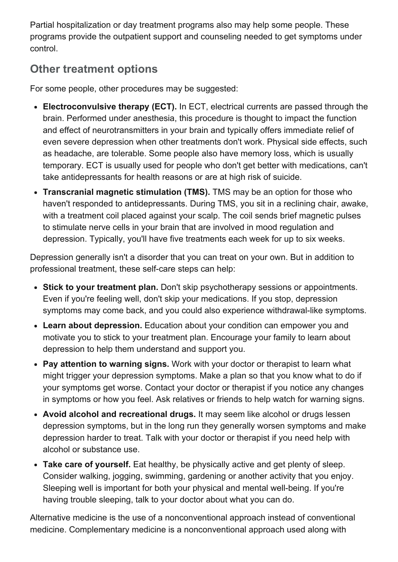Partial hospitalization or day treatment programs also may help some people. These programs provide the outpatient support and counseling needed to get symptoms under control.

### Other treatment options

For some people, other procedures may be suggested:

- Electroconvulsive therapy (ECT). In ECT, electrical currents are passed through the brain. Performed under anesthesia, this procedure is thought to impact the function and effect of neurotransmitters in your brain and typically offers immediate relief of even severe depression when other treatments don't work. Physical side effects, such as headache, are tolerable. Some people also have memory loss, which is usually temporary. ECT is usually used for people who don't get better with medications, can't take antidepressants for health reasons or are at high risk of suicide.
- Transcranial magnetic stimulation (TMS). TMS may be an option for those who haven't responded to antidepressants. During TMS, you sit in a reclining chair, awake, with a treatment coil placed against your scalp. The coil sends brief magnetic pulses to stimulate nerve cells in your brain that are involved in mood regulation and depression. Typically, you'll have five treatments each week for up to six weeks.

Depression generally isn't a disorder that you can treat on your own. But in addition to professional treatment, these self-care steps can help:

- Stick to your treatment plan. Don't skip psychotherapy sessions or appointments. Even if you're feeling well, don't skip your medications. If you stop, depression symptoms may come back, and you could also experience withdrawal-like symptoms.
- Learn about depression. Education about your condition can empower you and motivate you to stick to your treatment plan. Encourage your family to learn about depression to help them understand and support you.
- Pay attention to warning signs. Work with your doctor or therapist to learn what might trigger your depression symptoms. Make a plan so that you know what to do if your symptoms get worse. Contact your doctor or therapist if you notice any changes in symptoms or how you feel. Ask relatives or friends to help watch for warning signs.
- Avoid alcohol and recreational drugs. It may seem like alcohol or drugs lessen depression symptoms, but in the long run they generally worsen symptoms and make depression harder to treat. Talk with your doctor or therapist if you need help with alcohol or substance use.
- Take care of yourself. Eat healthy, be physically active and get plenty of sleep. Consider walking, jogging, swimming, gardening or another activity that you enjoy. Sleeping well is important for both your physical and mental well-being. If you're having trouble sleeping, talk to your doctor about what you can do.

Alternative medicine is the use of a nonconventional approach instead of conventional medicine. Complementary medicine is a nonconventional approach used along with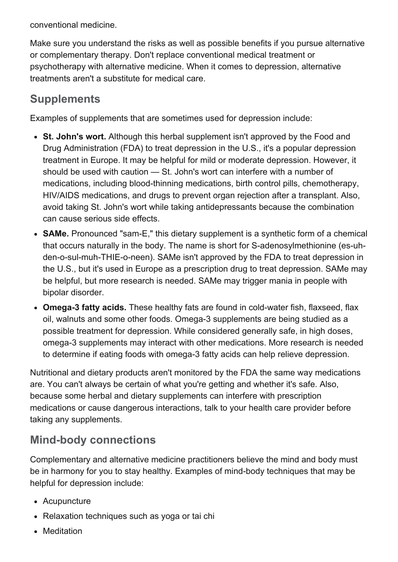conventional medicine.

Make sure you understand the risks as well as possible benefits if you pursue alternative or complementary therapy. Don't replace conventional medical treatment or psychotherapy with alternative medicine. When it comes to depression, alternative treatments aren't a substitute for medical care.

### **Supplements**

Examples of supplements that are sometimes used for depression include:

- St. John's wort. Although this herbal supplement isn't approved by the Food and Drug Administration (FDA) to treat depression in the U.S., it's a popular depression treatment in Europe. It may be helpful for mild or moderate depression. However, it should be used with caution — St. John's wort can interfere with a number of medications, including blood-thinning medications, birth control pills, chemotherapy, HIV/AIDS medications, and drugs to prevent organ rejection after a transplant. Also, avoid taking St. John's wort while taking antidepressants because the combination can cause serious side effects.
- SAMe. Pronounced "sam-E," this dietary supplement is a synthetic form of a chemical that occurs naturally in the body. The name is short for S-adenosylmethionine (es-uhden-o-sul-muh-THIE-o-neen). SAMe isn't approved by the FDA to treat depression in the U.S., but it's used in Europe as a prescription drug to treat depression. SAMe may be helpful, but more research is needed. SAMe may trigger mania in people with bipolar disorder.
- Omega-3 fatty acids. These healthy fats are found in cold-water fish, flaxseed, flax oil, walnuts and some other foods. Omega-3 supplements are being studied as a possible treatment for depression. While considered generally safe, in high doses, omega-3 supplements may interact with other medications. More research is needed to determine if eating foods with omega-3 fatty acids can help relieve depression.

Nutritional and dietary products aren't monitored by the FDA the same way medications are. You can't always be certain of what you're getting and whether it's safe. Also, because some herbal and dietary supplements can interfere with prescription medications or cause dangerous interactions, talk to your health care provider before taking any supplements.

### **Mind-body connections**

Complementary and alternative medicine practitioners believe the mind and body must be in harmony for you to stay healthy. Examples of mind-body techniques that may be helpful for depression include:

- Acupuncture
- Relaxation techniques such as yoga or tai chi
- Meditation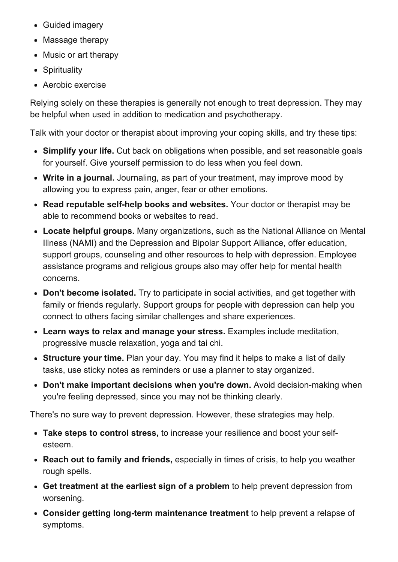- Guided imagery
- Massage therapy
- Music or art therapy
- Spirituality
- Aerobic exercise

Relying solely on these therapies is generally not enough to treat depression. They may be helpful when used in addition to medication and psychotherapy.

Talk with your doctor or therapist about improving your coping skills, and try these tips:

- Simplify your life. Cut back on obligations when possible, and set reasonable goals for yourself. Give yourself permission to do less when you feel down.
- Write in a journal. Journaling, as part of your treatment, may improve mood by allowing you to express pain, anger, fear or other emotions.
- Read reputable self-help books and websites. Your doctor or therapist may be able to recommend books or websites to read.
- Locate helpful groups. Many organizations, such as the National Alliance on Mental Illness (NAMI) and the Depression and Bipolar Support Alliance, offer education, support groups, counseling and other resources to help with depression. Employee assistance programs and religious groups also may offer help for mental health concerns.
- Don't become isolated. Try to participate in social activities, and get together with family or friends regularly. Support groups for people with depression can help you connect to others facing similar challenges and share experiences.
- Learn ways to relax and manage your stress. Examples include meditation, progressive muscle relaxation, yoga and tai chi.
- Structure your time. Plan your day. You may find it helps to make a list of daily tasks, use sticky notes as reminders or use a planner to stay organized.
- Don't make important decisions when you're down. Avoid decision-making when you're feeling depressed, since you may not be thinking clearly.

There's no sure way to prevent depression. However, these strategies may help.

- Take steps to control stress, to increase your resilience and boost your selfesteem.
- Reach out to family and friends, especially in times of crisis, to help you weather rough spells.
- Get treatment at the earliest sign of a problem to help prevent depression from worsening.
- Consider getting long-term maintenance treatment to help prevent a relapse of symptoms.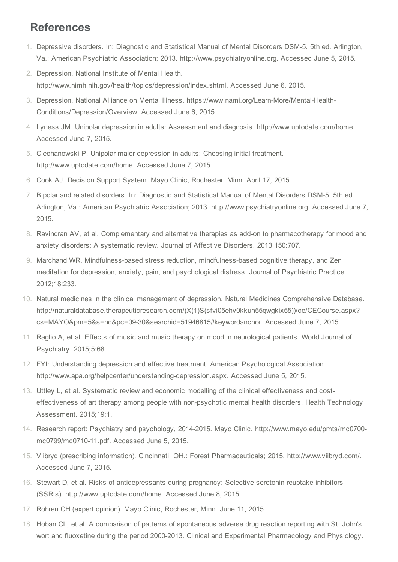#### References

- 1. Depressive disorders. In: Diagnostic and Statistical Manual of Mental Disorders DSM-5. 5th ed. Arlington, Va.: American Psychiatric Association; 2013. http://www.psychiatryonline.org. Accessed June 5, 2015.
- 2. Depression. National Institute of Mental Health. http://www.nimh.nih.gov/health/topics/depression/index.shtml. Accessed June 6, 2015.
- 3. Depression. National Alliance on Mental Illness. https://www.nami.org/Learn-More/Mental-Health-Conditions/Depression/Overview. Accessed June 6, 2015.
- 4. Lyness JM. Unipolar depression in adults: Assessment and diagnosis. http://www.uptodate.com/home. Accessed June 7, 2015.
- 5. Ciechanowski P. Unipolar major depression in adults: Choosing initial treatment. http://www.uptodate.com/home. Accessed June 7, 2015.
- 6. Cook AJ. Decision Support System. Mayo Clinic, Rochester, Minn. April 17, 2015.
- 7. Bipolar and related disorders. In: Diagnostic and Statistical Manual of Mental Disorders DSM-5. 5th ed. Arlington, Va.: American Psychiatric Association; 2013. http://www.psychiatryonline.org. Accessed June 7, 2015.
- 8. Ravindran AV, et al. Complementary and alternative therapies as add-on to pharmacotherapy for mood and anxiety disorders: A systematic review. Journal of Affective Disorders. 2013;150:707.
- 9. Marchand WR. Mindfulness-based stress reduction, mindfulness-based cognitive therapy, and Zen meditation for depression, anxiety, pain, and psychological distress. Journal of Psychiatric Practice. 2012;18:233.
- 10. Natural medicines in the clinical management of depression. Natural Medicines Comprehensive Database. http://naturaldatabase.therapeuticresearch.com/(X(1)S(sfvi05ehv0kkun55qwgkix55))/ce/CECourse.aspx? cs=MAYO&pm=5&s=nd&pc=0930&searchid=51946815#keywordanchor. Accessed June 7, 2015.
- 11. Raglio A, et al. Effects of music and music therapy on mood in neurological patients. World Journal of Psychiatry. 2015;5:68.
- 12. FYI: Understanding depression and effective treatment. American Psychological Association. http://www.apa.org/helpcenter/understanding-depression.aspx. Accessed June 5, 2015.
- 13. Uttley L, et al. Systematic review and economic modelling of the clinical effectiveness and costeffectiveness of art therapy among people with non-psychotic mental health disorders. Health Technology Assessment. 2015;19:1.
- 14. Research report: Psychiatry and psychology, 20142015. Mayo Clinic. http://www.mayo.edu/pmts/mc0700 mc0799/mc0710-11.pdf. Accessed June 5, 2015.
- 15. Viibryd (prescribing information). Cincinnati, OH.: Forest Pharmaceuticals; 2015. http://www.viibryd.com/. Accessed June 7, 2015.
- 16. Stewart D, et al. Risks of antidepressants during pregnancy: Selective serotonin reuptake inhibitors (SSRIs). http://www.uptodate.com/home. Accessed June 8, 2015.
- 17. Rohren CH (expert opinion). Mayo Clinic, Rochester, Minn. June 11, 2015.
- 18. Hoban CL, et al. A comparison of patterns of spontaneous adverse drug reaction reporting with St. John's wort and fluoxetine during the period 2000-2013. Clinical and Experimental Pharmacology and Physiology.